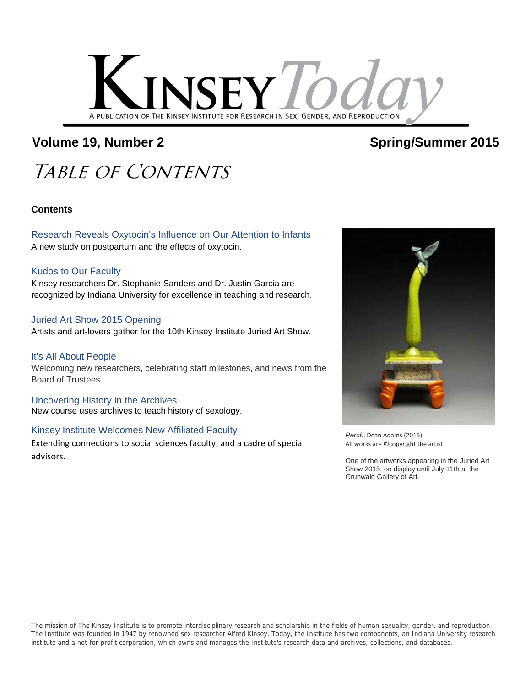

### Volume 19, Number 2 and Spring/Summer 2015

## TABLE OF CONTENTS

#### **Contents**

Research Reveals Oxytocin's Influence on Our Attention to Infants A new study on postpartum and the effects of oxytocin.

#### Kudos to Our Faculty

Kinsey researchers Dr. Stephanie Sanders and Dr. Justin Garcia are recognized by Indiana University for excellence in teaching and research.

#### Juried Art Show 2015 Opening

Artists and art-lovers gather for the 10th Kinsey Institute Juried Art Show.

It's All About People Welcoming new researchers, celebrating staff milestones, and news from the Board of Trustees.

Uncovering History in the Archives New course uses archives to teach history of sexology.

#### Kinsey Institute Welcomes New Affiliated Faculty

Extending connections to social sciences faculty, and a cadre of special advisors.



*Perch*, Dean Adams (2015). All works are ©copyright the artist

One of the artworks appearing in the Juried Art Show 2015, on display until July 11th at the Grunwald Gallery of Art.

The mission of The Kinsey Institute is to promote interdisciplinary research and scholarship in the fields of human sexuality, gender, and reproduction. The Institute was founded in 1947 by renowned sex researcher Alfred Kinsey. Today, the Institute has two components, an Indiana University research institute and a not-for-profit corporation, which owns and manages the Institute's research data and archives, collections, and databases.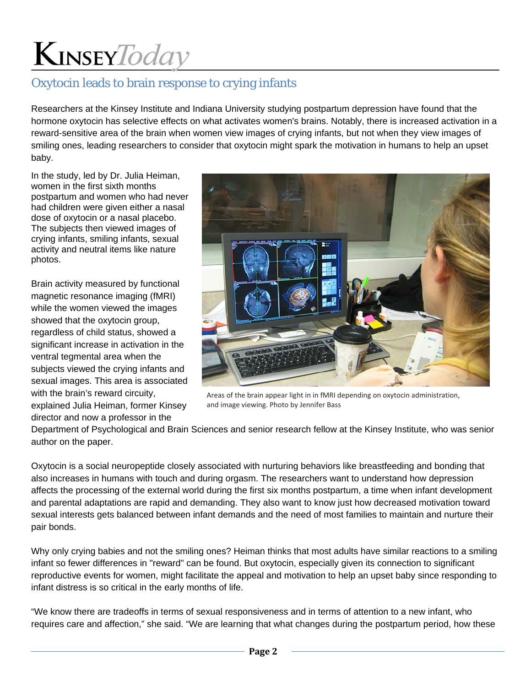### Oxytocin leads to brain response to crying infants

Researchers at the Kinsey Institute and Indiana University studying postpartum depression have found that the hormone oxytocin has selective effects on what activates women's brains. Notably, there is increased activation in a reward-sensitive area of the brain when women view images of crying infants, but not when they view images of smiling ones, leading researchers to consider that oxytocin might spark the motivation in humans to help an upset baby.

In the study, led by Dr. Julia Heiman, women in the first sixth months postpartum and women who had never had children were given either a nasal dose of oxytocin or a nasal placebo. The subjects then viewed images of crying infants, smiling infants, sexual activity and neutral items like nature photos.

Brain activity measured by functional magnetic resonance imaging (fMRI) while the women viewed the images showed that the oxytocin group, regardless of child status, showed a significant increase in activation in the ventral tegmental area when the subjects viewed the crying infants and sexual images. This area is associated with the brain's reward circuity, explained Julia Heiman, former Kinsey director and now a professor in the



Areas of the brain appear light in in fMRI depending on oxytocin administration, and image viewing. Photo by Jennifer Bass

Department of Psychological and Brain Sciences and senior research fellow at the Kinsey Institute, who was senior author on the paper.

Oxytocin is a social neuropeptide closely associated with nurturing behaviors like breastfeeding and bonding that also increases in humans with touch and during orgasm. The researchers want to understand how depression affects the processing of the external world during the first six months postpartum, a time when infant development and parental adaptations are rapid and demanding. They also want to know just how decreased motivation toward sexual interests gets balanced between infant demands and the need of most families to maintain and nurture their pair bonds.

Why only crying babies and not the smiling ones? Heiman thinks that most adults have similar reactions to a smiling infant so fewer differences in "reward" can be found. But oxytocin, especially given its connection to significant reproductive events for women, might facilitate the appeal and motivation to help an upset baby since responding to infant distress is so critical in the early months of life.

"We know there are tradeoffs in terms of sexual responsiveness and in terms of attention to a new infant, who requires care and affection," she said. "We are learning that what changes during the postpartum period, how these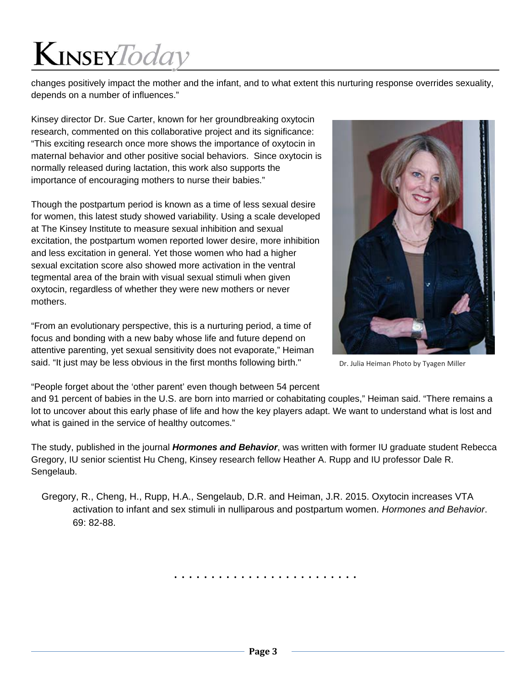changes positively impact the mother and the infant, and to what extent this nurturing response overrides sexuality, depends on a number of influences."

Kinsey director Dr. Sue Carter, known for her groundbreaking oxytocin research, commented on this collaborative project and its significance: "This exciting research once more shows the importance of oxytocin in maternal behavior and other positive social behaviors. Since oxytocin is normally released during lactation, this work also supports the importance of encouraging mothers to nurse their babies."

Though the postpartum period is known as a time of less sexual desire for women, this latest study showed variability. Using a scale developed at The Kinsey Institute to measure sexual inhibition and sexual excitation, the postpartum women reported lower desire, more inhibition and less excitation in general. Yet those women who had a higher sexual excitation score also showed more activation in the ventral tegmental area of the brain with visual sexual stimuli when given oxytocin, regardless of whether they were new mothers or never mothers.

"From an evolutionary perspective, this is a nurturing period, a time of focus and bonding with a new baby whose life and future depend on attentive parenting, yet sexual sensitivity does not evaporate," Heiman said. "It just may be less obvious in the first months following birth."



Dr. Julia Heiman Photo by Tyagen Miller

"People forget about the 'other parent' even though between 54 percent

and 91 percent of babies in the U.S. are born into married or cohabitating couples," Heiman said. "There remains a lot to uncover about this early phase of life and how the key players adapt. We want to understand what is lost and what is gained in the service of healthy outcomes."

The study, published in the journal *Hormones and Behavior*, was written with former IU graduate student Rebecca Gregory, IU senior scientist Hu Cheng, Kinsey research fellow Heather A. Rupp and IU professor Dale R. Sengelaub.

Gregory, R., Cheng, H., Rupp, H.A., Sengelaub, D.R. and Heiman, J.R. 2015. Oxytocin increases VTA activation to infant and sex stimuli in nulliparous and postpartum women. *Hormones and Behavior*. 69: 82-88.

. . . . . . . . . . . . . . . . . . . . . . . . .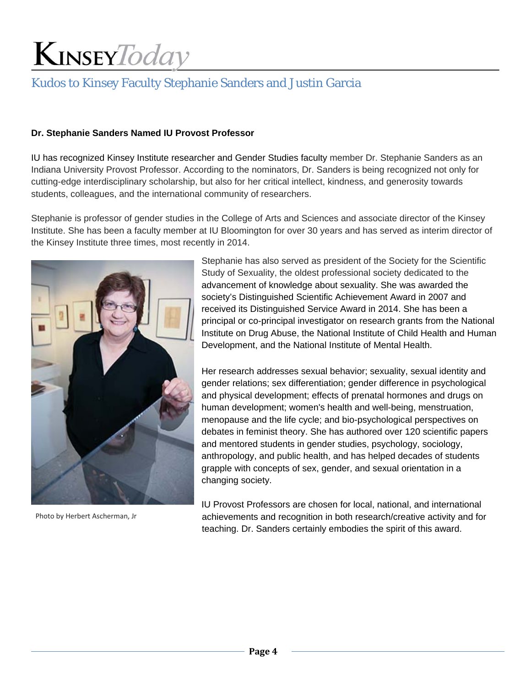### Kudos to Kinsey Faculty Stephanie Sanders and Justin Garcia

#### **Dr. Stephanie Sanders Named IU Provost Professor**

IU has recognized Kinsey Institute researcher and Gender Studies faculty member Dr. Stephanie Sanders as an Indiana University Provost Professor. According to the nominators, Dr. Sanders is being recognized not only for cutting-edge interdisciplinary scholarship, but also for her critical intellect, kindness, and generosity towards students, colleagues, and the international community of researchers.

Stephanie is professor of gender studies in the College of Arts and Sciences and associate director of the Kinsey Institute. She has been a faculty member at IU Bloomington for over 30 years and has served as interim director of the Kinsey Institute three times, most recently in 2014.



Photo by Herbert Ascherman, Jr

Stephanie has also served as president of the Society for the Scientific Study of Sexuality, the oldest professional society dedicated to the advancement of knowledge about sexuality. She was awarded the society's Distinguished Scientific Achievement Award in 2007 and received its Distinguished Service Award in 2014. She has been a principal or co-principal investigator on research grants from the National Institute on Drug Abuse, the National Institute of Child Health and Human Development, and the National Institute of Mental Health.

Her research addresses sexual behavior; sexuality, sexual identity and gender relations; sex differentiation; gender difference in psychological and physical development; effects of prenatal hormones and drugs on human development; women's health and well-being, menstruation, menopause and the life cycle; and bio-psychological perspectives on debates in feminist theory. She has authored over 120 scientific papers and mentored students in gender studies, psychology, sociology, anthropology, and public health, and has helped decades of students grapple with concepts of sex, gender, and sexual orientation in a changing society.

IU Provost Professors are chosen for local, national, and international achievements and recognition in both research/creative activity and for teaching. Dr. Sanders certainly embodies the spirit of this award.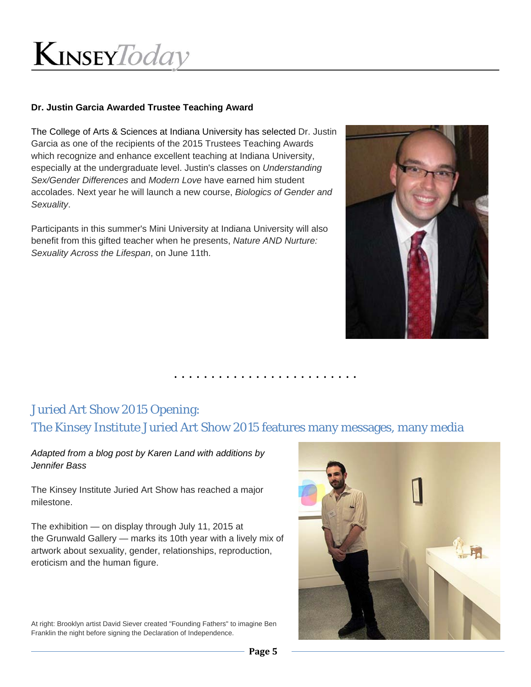

#### **Dr. Justin Garcia Awarded Trustee Teaching Award**

The College of Arts & Sciences at Indiana University has selected Dr. Justin Garcia as one of the recipients of the 2015 Trustees Teaching Awards which recognize and enhance excellent teaching at Indiana University, especially at the undergraduate level. Justin's classes on *Understanding Sex/Gender Differences* and *Modern Love* have earned him student accolades. Next year he will launch a new course, *Biologics of Gender and Sexuality*.

Participants in this summer's Mini University at Indiana University will also benefit from this gifted teacher when he presents, *Nature AND Nurture: Sexuality Across the Lifespan*, on June 11th.



. . . . . . . . . . . . . . . . . . . . . . . . .

### Juried Art Show 2015 Opening: The Kinsey Institute Juried Art Show 2015 features many messages, many media

*Adapted from a blog post by Karen Land with additions by Jennifer Bass*

The Kinsey Institute Juried Art Show has reached a major milestone.

The exhibition — on display through July 11, 2015 at the Grunwald Gallery — marks its 10th year with a lively mix of artwork about sexuality, gender, relationships, reproduction, eroticism and the human figure.

At right: Brooklyn artist David Siever created "Founding Fathers" to imagine Ben Franklin the night before signing the Declaration of Independence.

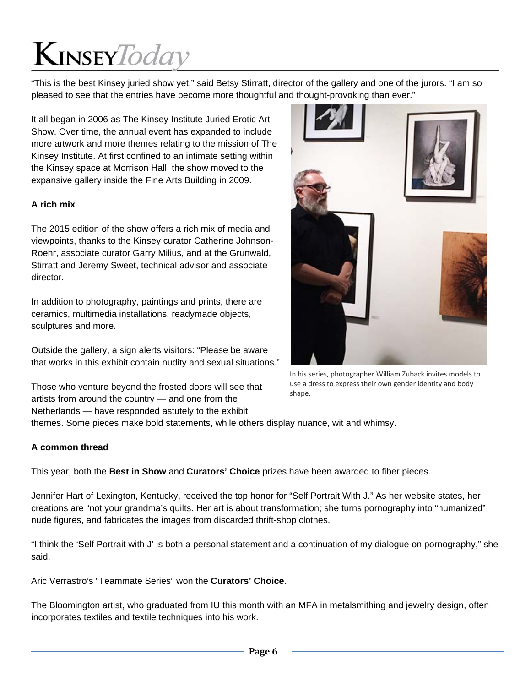"This is the best Kinsey juried show yet," said Betsy Stirratt, director of the gallery and one of the jurors. "I am so pleased to see that the entries have become more thoughtful and thought-provoking than ever."

It all began in 2006 as The Kinsey Institute Juried Erotic Art Show. Over time, the annual event has expanded to include more artwork and more themes relating to the mission of The Kinsey Institute. At first confined to an intimate setting within the Kinsey space at Morrison Hall, the show moved to the expansive gallery inside the Fine Arts Building in 2009.

#### **A rich mix**

The 2015 edition of the show offers a rich mix of media and viewpoints, thanks to the Kinsey curator Catherine Johnson-Roehr, associate curator Garry Milius, and at the Grunwald, Stirratt and Jeremy Sweet, technical advisor and associate director.

In addition to photography, paintings and prints, there are ceramics, multimedia installations, readymade objects, sculptures and more.

Outside the gallery, a sign alerts visitors: "Please be aware that works in this exhibit contain nudity and sexual situations."

Those who venture beyond the frosted doors will see that artists from around the country — and one from the Netherlands — have responded astutely to the exhibit



In his series, photographer William Zuback invites models to use a dress to express their own gender identity and body shape.

themes. Some pieces make bold statements, while others display nuance, wit and whimsy.

#### **A common thread**

This year, both the **Best in Show** and **Curators' Choice** prizes have been awarded to fiber pieces.

Jennifer Hart of Lexington, Kentucky, received the top honor for "Self Portrait With J." As her website states, her creations are "not your grandma's quilts. Her art is about transformation; she turns pornography into "humanized" nude figures, and fabricates the images from discarded thrift-shop clothes.

"I think the 'Self Portrait with J' is both a personal statement and a continuation of my dialogue on pornography," she said.

Aric Verrastro's "Teammate Series" won the **Curators' Choice**.

The Bloomington artist, who graduated from IU this month with an MFA in metalsmithing and jewelry design, often incorporates textiles and textile techniques into his work.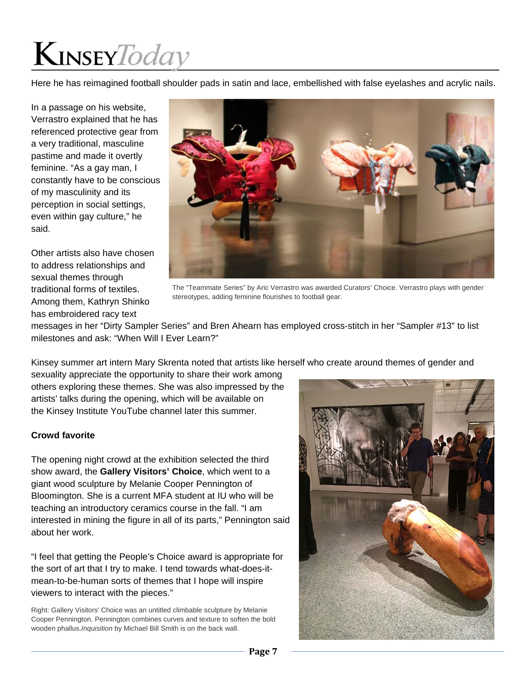Here he has reimagined football shoulder pads in satin and lace, embellished with false eyelashes and acrylic nails.

In a passage on his website, Verrastro explained that he has referenced protective gear from a very traditional, masculine pastime and made it overtly feminine. "As a gay man, I constantly have to be conscious of my masculinity and its perception in social settings, even within gay culture," he said.

Other artists also have chosen to address relationships and sexual themes through traditional forms of textiles. Among them, Kathryn Shinko has embroidered racy text



The "Teammate Series" by Aric Verrastro was awarded Curators' Choice. Verrastro plays with gender stereotypes, adding feminine flourishes to football gear.

messages in her "Dirty Sampler Series" and Bren Ahearn has employed cross-stitch in her "Sampler #13" to list milestones and ask: "When Will I Ever Learn?"

Kinsey summer art intern Mary Skrenta noted that artists like herself who create around themes of gender and

sexuality appreciate the opportunity to share their work among others exploring these themes. She was also impressed by the artists' talks during the opening, which will be available on the Kinsey Institute YouTube channel later this summer.

#### **Crowd favorite**

The opening night crowd at the exhibition selected the third show award, the **Gallery Visitors' Choice**, which went to a giant wood sculpture by Melanie Cooper Pennington of Bloomington. She is a current MFA student at IU who will be teaching an introductory ceramics course in the fall. "I am interested in mining the figure in all of its parts," Pennington said about her work.

"I feel that getting the People's Choice award is appropriate for the sort of art that I try to make. I tend towards what-does-itmean-to-be-human sorts of themes that I hope will inspire viewers to interact with the pieces."

Right: Gallery Visitors' Choice was an untitled climbable sculpture by Melanie Cooper Pennington. Pennington combines curves and texture to soften the bold wooden phallus.*Inquisition* by Michael Bill Smith is on the back wall.

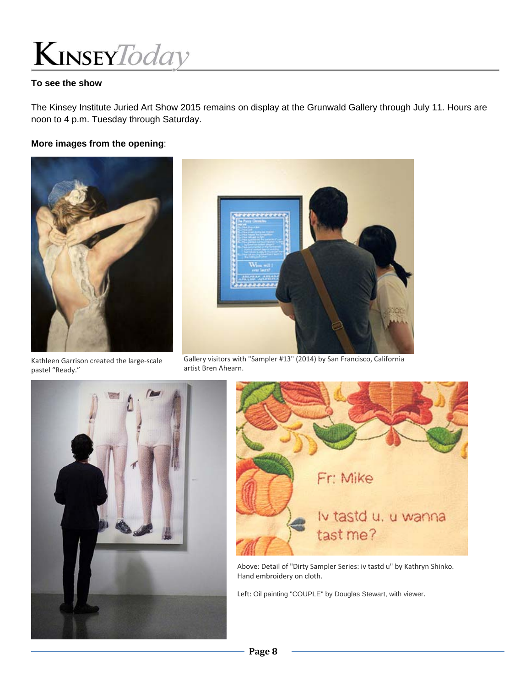

#### **To see the show**

The Kinsey Institute Juried Art Show 2015 remains on display at the Grunwald Gallery through July 11. Hours are noon to 4 p.m. Tuesday through Saturday.

#### **More images from the opening**:



Kathleen Garrison created the large‐scale pastel "Ready."



Gallery visitors with "Sampler #13" (2014) by San Francisco, California artist Bren Ahearn.





Above: Detail of "Dirty Sampler Series: iv tastd u" by Kathryn Shinko. Hand embroidery on cloth.

Left: Oil painting "COUPLE" by Douglas Stewart, with viewer.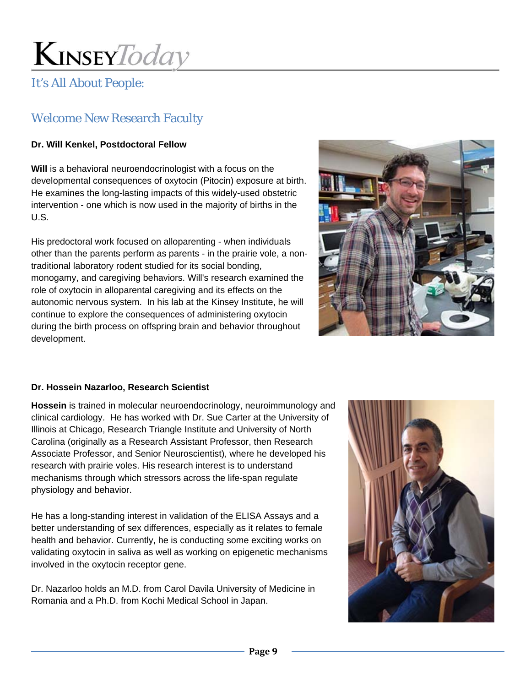### It's All About People:

### Welcome New Research Faculty

### **Dr. Will Kenkel, Postdoctoral Fellow**

**Will** is a behavioral neuroendocrinologist with a focus on the developmental consequences of oxytocin (Pitocin) exposure at birth. He examines the long-lasting impacts of this widely-used obstetric intervention - one which is now used in the majority of births in the U.S.

His predoctoral work focused on alloparenting - when individuals other than the parents perform as parents - in the prairie vole, a nontraditional laboratory rodent studied for its social bonding, monogamy, and caregiving behaviors. Will's research examined the role of oxytocin in alloparental caregiving and its effects on the autonomic nervous system. In his lab at the Kinsey Institute, he will continue to explore the consequences of administering oxytocin during the birth process on offspring brain and behavior throughout development.



#### **Dr. Hossein Nazarloo, Research Scientist**

**Hossein** is trained in molecular neuroendocrinology, neuroimmunology and clinical cardiology. He has worked with Dr. Sue Carter at the University of Illinois at Chicago, Research Triangle Institute and University of North Carolina (originally as a Research Assistant Professor, then Research Associate Professor, and Senior Neuroscientist), where he developed his research with prairie voles. His research interest is to understand mechanisms through which stressors across the life-span regulate physiology and behavior.

He has a long-standing interest in validation of the ELISA Assays and a better understanding of sex differences, especially as it relates to female health and behavior. Currently, he is conducting some exciting works on validating oxytocin in saliva as well as working on epigenetic mechanisms involved in the oxytocin receptor gene.

Dr. Nazarloo holds an M.D. from Carol Davila University of Medicine in Romania and a Ph.D. from Kochi Medical School in Japan.

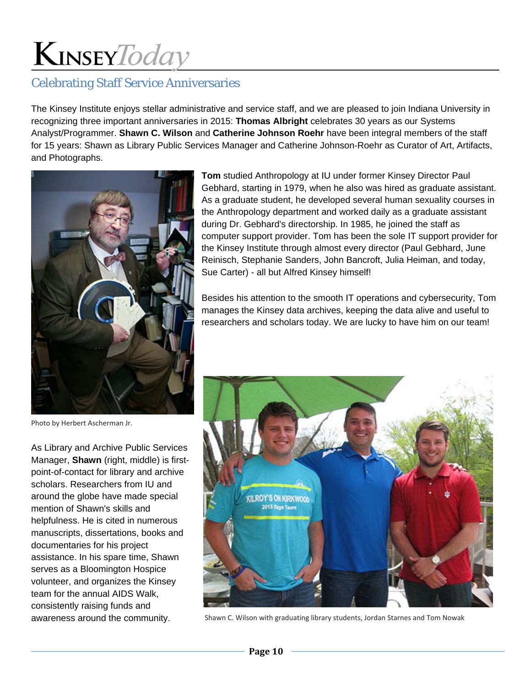### Celebrating Staff Service Anniversaries

The Kinsey Institute enjoys stellar administrative and service staff, and we are pleased to join Indiana University in recognizing three important anniversaries in 2015: **Thomas Albright** celebrates 30 years as our Systems Analyst/Programmer. **Shawn C. Wilson** and **Catherine Johnson Roehr** have been integral members of the staff for 15 years: Shawn as Library Public Services Manager and Catherine Johnson-Roehr as Curator of Art, Artifacts, and Photographs.



**Tom** studied Anthropology at IU under former Kinsey Director Paul Gebhard, starting in 1979, when he also was hired as graduate assistant. As a graduate student, he developed several human sexuality courses in the Anthropology department and worked daily as a graduate assistant during Dr. Gebhard's directorship. In 1985, he joined the staff as computer support provider. Tom has been the sole IT support provider for the Kinsey Institute through almost every director (Paul Gebhard, June Reinisch, Stephanie Sanders, John Bancroft, Julia Heiman, and today, Sue Carter) - all but Alfred Kinsey himself!

Besides his attention to the smooth IT operations and cybersecurity, Tom manages the Kinsey data archives, keeping the data alive and useful to researchers and scholars today. We are lucky to have him on our team!



Shawn C. Wilson with graduating library students, Jordan Starnes and Tom Nowak

Photo by Herbert Ascherman Jr.

As Library and Archive Public Services Manager, **Shawn** (right, middle) is firstpoint-of-contact for library and archive scholars. Researchers from IU and around the globe have made special mention of Shawn's skills and helpfulness. He is cited in numerous manuscripts, dissertations, books and documentaries for his project assistance. In his spare time, Shawn serves as a Bloomington Hospice volunteer, and organizes the Kinsey team for the annual AIDS Walk, consistently raising funds and awareness around the community.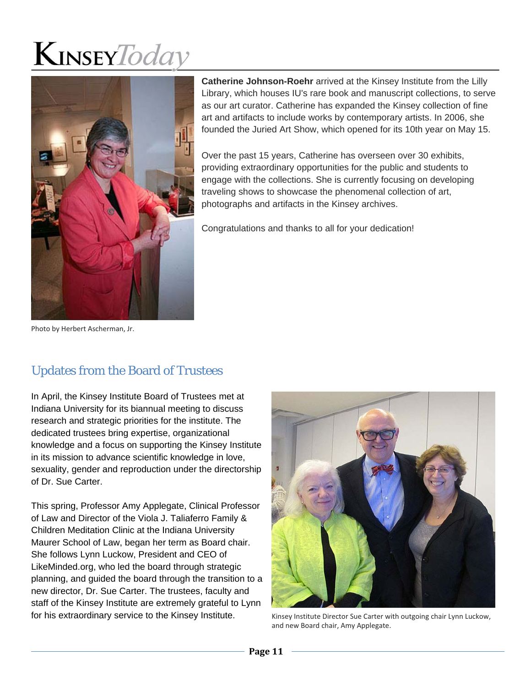

**Catherine Johnson-Roehr** arrived at the Kinsey Institute from the Lilly Library, which houses IU's rare book and manuscript collections, to serve as our art curator. Catherine has expanded the Kinsey collection of fine art and artifacts to include works by contemporary artists. In 2006, she founded the Juried Art Show, which opened for its 10th year on May 15.

Over the past 15 years, Catherine has overseen over 30 exhibits, providing extraordinary opportunities for the public and students to engage with the collections. She is currently focusing on developing traveling shows to showcase the phenomenal collection of art, photographs and artifacts in the Kinsey archives.

Congratulations and thanks to all for your dedication!

Photo by Herbert Ascherman, Jr.

### Updates from the Board of Trustees

In April, the Kinsey Institute Board of Trustees met at Indiana University for its biannual meeting to discuss research and strategic priorities for the institute. The dedicated trustees bring expertise, organizational knowledge and a focus on supporting the Kinsey Institute in its mission to advance scientific knowledge in love, sexuality, gender and reproduction under the directorship of Dr. Sue Carter.

This spring, Professor Amy Applegate, Clinical Professor of Law and Director of the Viola J. Taliaferro Family & Children Meditation Clinic at the Indiana University Maurer School of Law, began her term as Board chair. She follows Lynn Luckow, President and CEO of LikeMinded.org, who led the board through strategic planning, and guided the board through the transition to a new director, Dr. Sue Carter. The trustees, faculty and staff of the Kinsey Institute are extremely grateful to Lynn for his extraordinary service to the Kinsey Institute.



Kinsey Institute Director Sue Carter with outgoing chair Lynn Luckow, and new Board chair, Amy Applegate.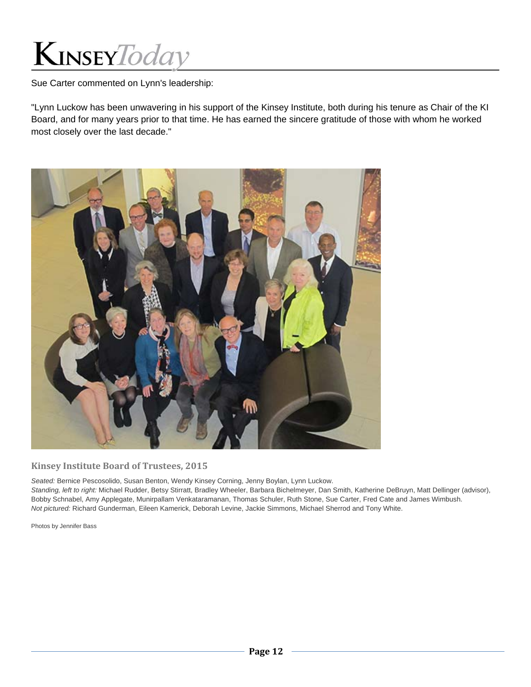Sue Carter commented on Lynn's leadership:

"Lynn Luckow has been unwavering in his support of the Kinsey Institute, both during his tenure as Chair of the KI Board, and for many years prior to that time. He has earned the sincere gratitude of those with whom he worked most closely over the last decade."



#### **Kinsey Institute Board of Trustees, 2015**

*Seated:* Bernice Pescosolido, Susan Benton, Wendy Kinsey Corning, Jenny Boylan, Lynn Luckow.

*Standing, left to right:* Michael Rudder, Betsy Stirratt, Bradley Wheeler, Barbara Bichelmeyer, Dan Smith, Katherine DeBruyn, Matt Dellinger (advisor), Bobby Schnabel, Amy Applegate, Munirpallam Venkataramanan, Thomas Schuler, Ruth Stone, Sue Carter, Fred Cate and James Wimbush. *Not pictured:* Richard Gunderman, Eileen Kamerick, Deborah Levine, Jackie Simmons, Michael Sherrod and Tony White.

Photos by Jennifer Bass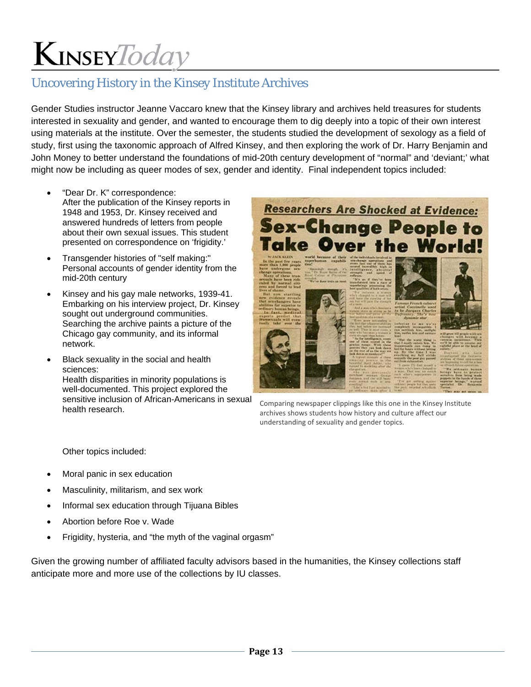### Uncovering History in the Kinsey Institute Archives

Gender Studies instructor Jeanne Vaccaro knew that the Kinsey library and archives held treasures for students interested in sexuality and gender, and wanted to encourage them to dig deeply into a topic of their own interest using materials at the institute. Over the semester, the students studied the development of sexology as a field of study, first using the taxonomic approach of Alfred Kinsey, and then exploring the work of Dr. Harry Benjamin and John Money to better understand the foundations of mid-20th century development of "normal" and 'deviant;' what might now be including as queer modes of sex, gender and identity. Final independent topics included:

- "Dear Dr. K" correspondence: After the publication of the Kinsey reports in 1948 and 1953, Dr. Kinsey received and answered hundreds of letters from people about their own sexual issues. This student presented on correspondence on 'frigidity.'
- Transgender histories of "self making:" Personal accounts of gender identity from the mid-20th century
- Kinsey and his gay male networks, 1939-41. Embarking on his interview project, Dr. Kinsey sought out underground communities. Searching the archive paints a picture of the Chicago gay community, and its informal network.
- Black sexuality in the social and health sciences: Health disparities in minority populations is well-documented. This project explored the sensitive inclusion of African-Americans in sexual health research.



Comparing newspaper clippings like this one in the Kinsey Institute archives shows students how history and culture affect our understanding of sexuality and gender topics.

Other topics included:

- Moral panic in sex education
- Masculinity, militarism, and sex work
- Informal sex education through Tijuana Bibles
- Abortion before Roe v. Wade
- Frigidity, hysteria, and "the myth of the vaginal orgasm"

Given the growing number of affiliated faculty advisors based in the humanities, the Kinsey collections staff anticipate more and more use of the collections by IU classes.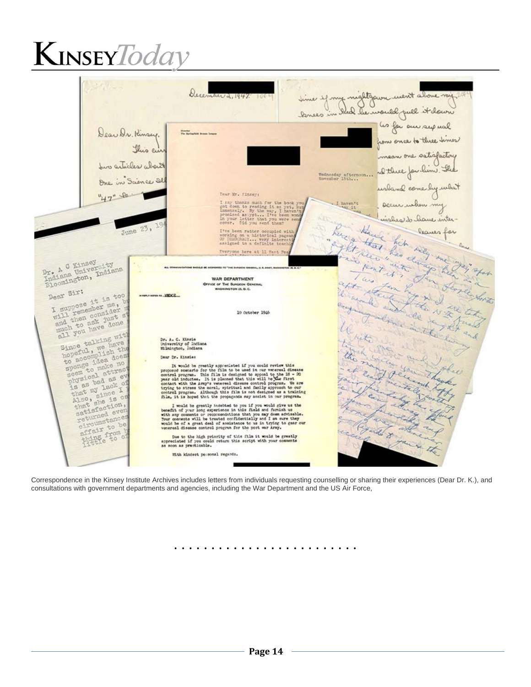

Correspondence in the Kinsey Institute Archives includes letters from individuals requesting counselling or sharing their experiences (Dear Dr. K.), and consultations with government departments and agencies, including the War Department and the US Air Force,

. . . . . . . . . . . . . . . . . . . . . . . . .